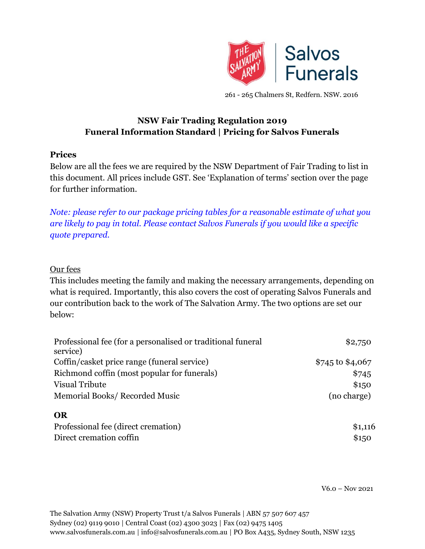

261 - 265 Chalmers St, Redfern. NSW. 2016

# **NSW Fair Trading Regulation 2019 Funeral Information Standard | Pricing for Salvos Funerals**

#### **Prices**

Below are all the fees we are required by the NSW Department of Fair Trading to list in this document. All prices include GST. See 'Explanation of terms' section over the page for further information.

*Note: please refer to our package pricing tables for a reasonable estimate of what you are likely to pay in total. Please contact Salvos Funerals if you would like a specific quote prepared.*

#### Our fees

This includes meeting the family and making the necessary arrangements, depending on what is required. Importantly, this also covers the cost of operating Salvos Funerals and our contribution back to the work of The Salvation Army. The two options are set our below:

| Professional fee (for a personalised or traditional funeral<br>service) | \$2,750          |
|-------------------------------------------------------------------------|------------------|
| Coffin/casket price range (funeral service)                             | \$745 to \$4,067 |
| Richmond coffin (most popular for funerals)                             | \$745            |
| Visual Tribute                                                          | \$150            |
| Memorial Books/Recorded Music                                           | (no charge)      |
| <b>OR</b>                                                               |                  |
| Professional fee (direct cremation)                                     | \$1,116          |
| Direct cremation coffin                                                 | \$150            |

V6.0 – Nov 2021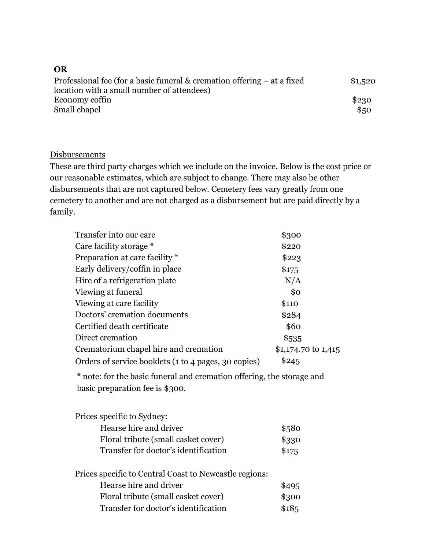| OR                                                                           |         |
|------------------------------------------------------------------------------|---------|
| Professional fee (for a basic funeral $\&$ cremation offering $-$ at a fixed | \$1,520 |
| location with a small number of attendees)                                   |         |
| Economy coffin                                                               | \$230   |
| Small chapel                                                                 | \$50    |

#### **Disbursements**

These are third party charges which we include on the invoice. Below is the cost price or our reasonable estimates, which are subject to change. There may also be other disbursements that are not captured below. Cemetery fees vary greatly from one cemetery to another and are not charged as a disbursement but are paid directly by a family.

| Transfer into our care                               | \$300               |
|------------------------------------------------------|---------------------|
| Care facility storage *                              | \$220               |
| Preparation at care facility *                       | \$223               |
| Early delivery/coffin in place                       | \$175               |
| Hire of a refrigeration plate                        | N/A                 |
| Viewing at funeral                                   | \$0                 |
| Viewing at care facility                             | \$110               |
| Doctors' cremation documents                         | \$284               |
| Certified death certificate                          | \$60                |
| Direct cremation                                     | \$535               |
| Crematorium chapel hire and cremation                | \$1,174.70 to 1,415 |
| Orders of service booklets (1 to 4 pages, 30 copies) | \$245               |

\* note: for the basic funeral and cremation offering, the storage and basic preparation fee is \$300.

| Prices specific to Sydney:           |       |
|--------------------------------------|-------|
| Hearse hire and driver               | \$580 |
| Floral tribute (small casket cover)  | \$330 |
| Transfer for doctor's identification | \$175 |
|                                      |       |

| Prices specific to Central Coast to Newcastle regions: |        |
|--------------------------------------------------------|--------|
| Hearse hire and driver                                 | \$495  |
| Floral tribute (small casket cover)                    | \$300  |
| Transfer for doctor's identification                   | \$18,5 |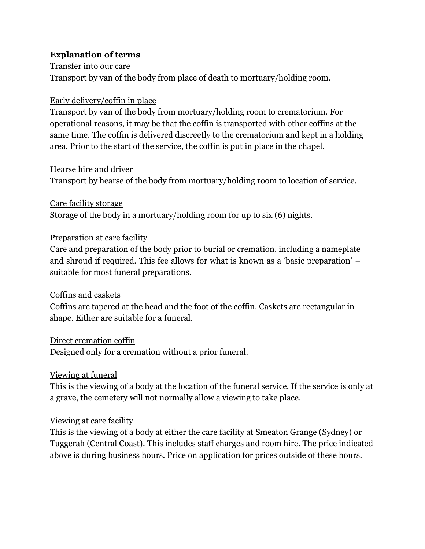## **Explanation of terms**

Transfer into our care Transport by van of the body from place of death to mortuary/holding room.

## Early delivery/coffin in place

Transport by van of the body from mortuary/holding room to crematorium. For operational reasons, it may be that the coffin is transported with other coffins at the same time. The coffin is delivered discreetly to the crematorium and kept in a holding area. Prior to the start of the service, the coffin is put in place in the chapel.

## Hearse hire and driver

Transport by hearse of the body from mortuary/holding room to location of service.

Care facility storage Storage of the body in a mortuary/holding room for up to six (6) nights.

## Preparation at care facility

Care and preparation of the body prior to burial or cremation, including a nameplate and shroud if required. This fee allows for what is known as a 'basic preparation' – suitable for most funeral preparations.

## Coffins and caskets

Coffins are tapered at the head and the foot of the coffin. Caskets are rectangular in shape. Either are suitable for a funeral.

## Direct cremation coffin

Designed only for a cremation without a prior funeral.

## Viewing at funeral

This is the viewing of a body at the location of the funeral service. If the service is only at a grave, the cemetery will not normally allow a viewing to take place.

## Viewing at care facility

This is the viewing of a body at either the care facility at Smeaton Grange (Sydney) or Tuggerah (Central Coast). This includes staff charges and room hire. The price indicated above is during business hours. Price on application for prices outside of these hours.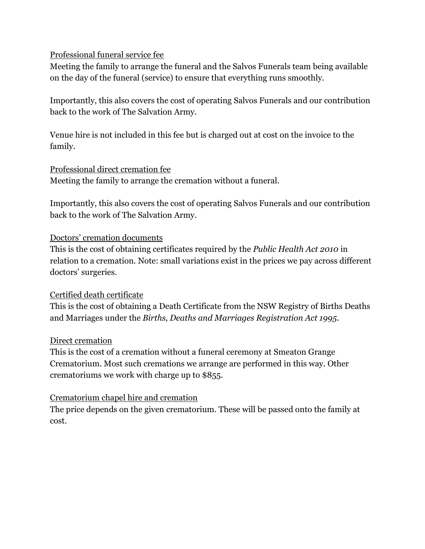## Professional funeral service fee

Meeting the family to arrange the funeral and the Salvos Funerals team being available on the day of the funeral (service) to ensure that everything runs smoothly.

Importantly, this also covers the cost of operating Salvos Funerals and our contribution back to the work of The Salvation Army.

Venue hire is not included in this fee but is charged out at cost on the invoice to the family.

#### Professional direct cremation fee

Meeting the family to arrange the cremation without a funeral.

Importantly, this also covers the cost of operating Salvos Funerals and our contribution back to the work of The Salvation Army.

## Doctors' cremation documents

This is the cost of obtaining certificates required by the *Public Health Act 2010* in relation to a cremation. Note: small variations exist in the prices we pay across different doctors' surgeries.

## Certified death certificate

This is the cost of obtaining a Death Certificate from the NSW Registry of Births Deaths and Marriages under the *Births, Deaths and Marriages Registration Act 1995*.

#### Direct cremation

This is the cost of a cremation without a funeral ceremony at Smeaton Grange Crematorium. Most such cremations we arrange are performed in this way. Other crematoriums we work with charge up to \$855.

#### Crematorium chapel hire and cremation

The price depends on the given crematorium. These will be passed onto the family at cost.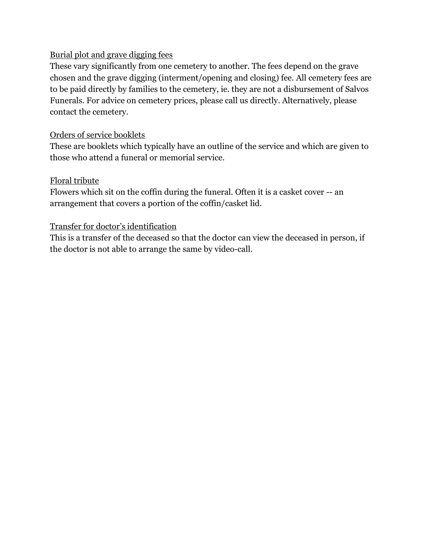## Burial plot and grave digging fees

These vary significantly from one cemetery to another. The fees depend on the grave chosen and the grave digging (interment/opening and closing) fee. All cemetery fees are to be paid directly by families to the cemetery, ie. they are not a disbursement of Salvos Funerals. For advice on cemetery prices, please call us directly. Alternatively, please contact the cemetery.

## Orders of service booklets

These are booklets which typically have an outline of the service and which are given to those who attend a funeral or memorial service.

## Floral tribute

Flowers which sit on the coffin during the funeral. Often it is a casket cover -- an arrangement that covers a portion of the coffin/casket lid.

## Transfer for doctor's identification

This is a transfer of the deceased so that the doctor can view the deceased in person, if the doctor is not able to arrange the same by video-call.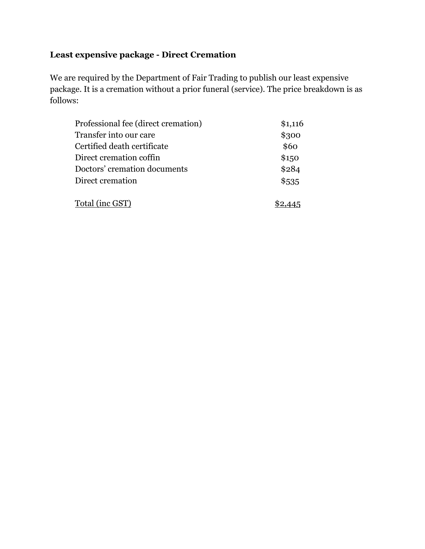# **Least expensive package - Direct Cremation**

We are required by the Department of Fair Trading to publish our least expensive package. It is a cremation without a prior funeral (service). The price breakdown is as follows:

| Professional fee (direct cremation) | \$1,116 |
|-------------------------------------|---------|
| Transfer into our care              | \$300   |
| Certified death certificate         | \$60    |
| Direct cremation coffin             | \$150   |
| Doctors' cremation documents        | \$284   |
| Direct cremation                    | \$535   |
| Total (inc GST)                     |         |